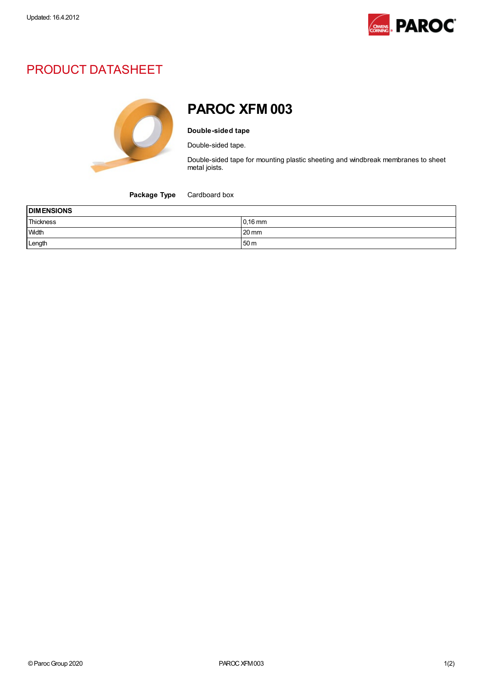

# PRODUCT DATASHEET



# PAROC XFM 003

#### Double-sided tape

Double-sided tape.

Double-sided tape for mounting plastic sheeting and windbreak membranes to sheet metal joists.

Package Type Cardboard box

| <b>DIMENSIONS</b> |                 |  |
|-------------------|-----------------|--|
| Thickness         | $0,16$ mm       |  |
| Width             | $20 \text{ mm}$ |  |
| Length            | 50 <sub>m</sub> |  |